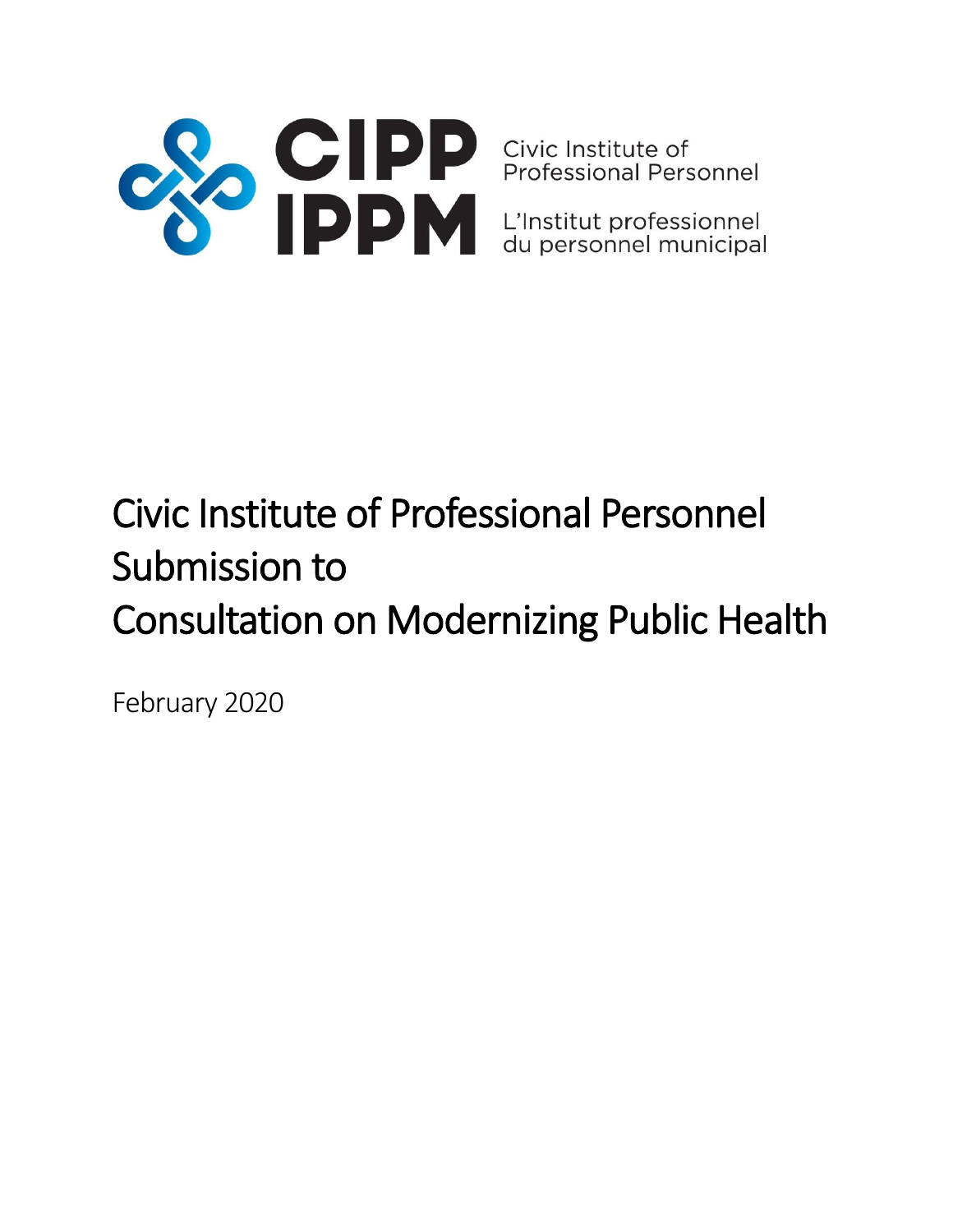

# Civic Institute of Professional Personnel Submission to Consultation on Modernizing Public Health

February 2020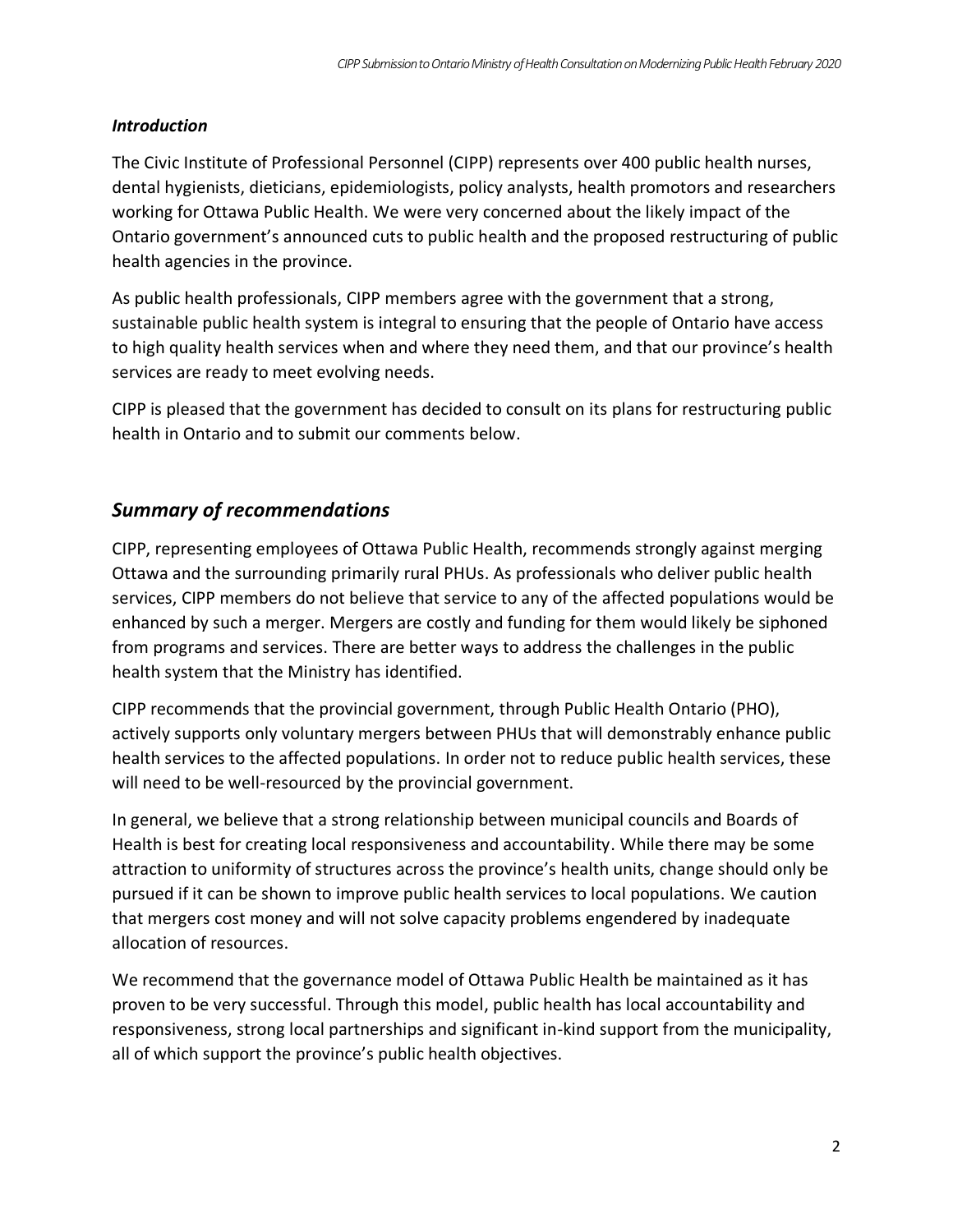#### *Introduction*

The Civic Institute of Professional Personnel (CIPP) represents over 400 public health nurses, dental hygienists, dieticians, epidemiologists, policy analysts, health promotors and researchers working for Ottawa Public Health. We were very concerned about the likely impact of the Ontario government's announced cuts to public health and the proposed restructuring of public health agencies in the province.

As public health professionals, CIPP members agree with the government that a strong, sustainable public health system is integral to ensuring that the people of Ontario have access to high quality health services when and where they need them, and that our province's health services are ready to meet evolving needs.

CIPP is pleased that the government has decided to consult on its plans for restructuring public health in Ontario and to submit our comments below.

## *Summary of recommendations*

CIPP, representing employees of Ottawa Public Health, recommends strongly against merging Ottawa and the surrounding primarily rural PHUs. As professionals who deliver public health services, CIPP members do not believe that service to any of the affected populations would be enhanced by such a merger. Mergers are costly and funding for them would likely be siphoned from programs and services. There are better ways to address the challenges in the public health system that the Ministry has identified.

CIPP recommends that the provincial government, through Public Health Ontario (PHO), actively supports only voluntary mergers between PHUs that will demonstrably enhance public health services to the affected populations. In order not to reduce public health services, these will need to be well-resourced by the provincial government.

In general, we believe that a strong relationship between municipal councils and Boards of Health is best for creating local responsiveness and accountability. While there may be some attraction to uniformity of structures across the province's health units, change should only be pursued if it can be shown to improve public health services to local populations. We caution that mergers cost money and will not solve capacity problems engendered by inadequate allocation of resources.

We recommend that the governance model of Ottawa Public Health be maintained as it has proven to be very successful. Through this model, public health has local accountability and responsiveness, strong local partnerships and significant in-kind support from the municipality, all of which support the province's public health objectives.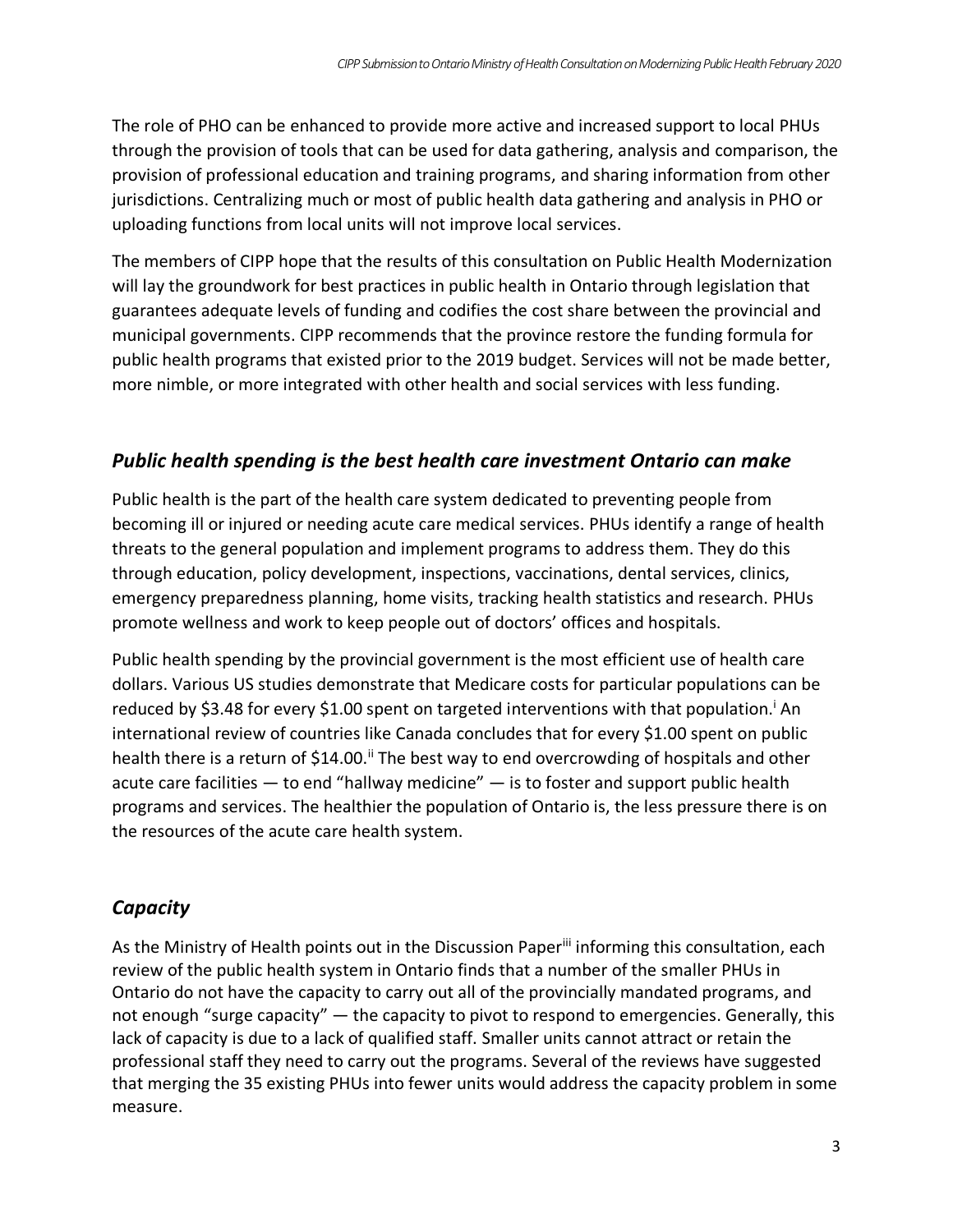The role of PHO can be enhanced to provide more active and increased support to local PHUs through the provision of tools that can be used for data gathering, analysis and comparison, the provision of professional education and training programs, and sharing information from other jurisdictions. Centralizing much or most of public health data gathering and analysis in PHO or uploading functions from local units will not improve local services.

The members of CIPP hope that the results of this consultation on Public Health Modernization will lay the groundwork for best practices in public health in Ontario through legislation that guarantees adequate levels of funding and codifies the cost share between the provincial and municipal governments. CIPP recommends that the province restore the funding formula for public health programs that existed prior to the 2019 budget. Services will not be made better, more nimble, or more integrated with other health and social services with less funding.

## *Public health spending is the best health care investment Ontario can make*

Public health is the part of the health care system dedicated to preventing people from becoming ill or injured or needing acute care medical services. PHUs identify a range of health threats to the general population and implement programs to address them. They do this through education, policy development, inspections, vaccinations, dental services, clinics, emergency preparedness planning, home visits, tracking health statistics and research. PHUs promote wellness and work to keep people out of doctors' offices and hospitals.

Public health spending by the provincial government is the most efficient use of health care dollars. Various US studies demonstrate that Medicare costs for particular populations can be reduced by \$3.48 for every \$1.00 spent on targeted interventions with that population.<sup>i</sup> An international review of countries like Canada concludes that for every \$1.00 spent on public health there is a return of \$14.00.<sup>ii</sup> The best way to end overcrowding of hospitals and other acute care facilities  $-$  to end "hallway medicine"  $-$  is to foster and support public health programs and services. The healthier the population of Ontario is, the less pressure there is on the resources of the acute care health system.

## *Capacity*

As the Ministry of Health points out in the Discussion Paper<sup>iii</sup> informing this consultation, each review of the public health system in Ontario finds that a number of the smaller PHUs in Ontario do not have the capacity to carry out all of the provincially mandated programs, and not enough "surge capacity" — the capacity to pivot to respond to emergencies. Generally, this lack of capacity is due to a lack of qualified staff. Smaller units cannot attract or retain the professional staff they need to carry out the programs. Several of the reviews have suggested that merging the 35 existing PHUs into fewer units would address the capacity problem in some measure.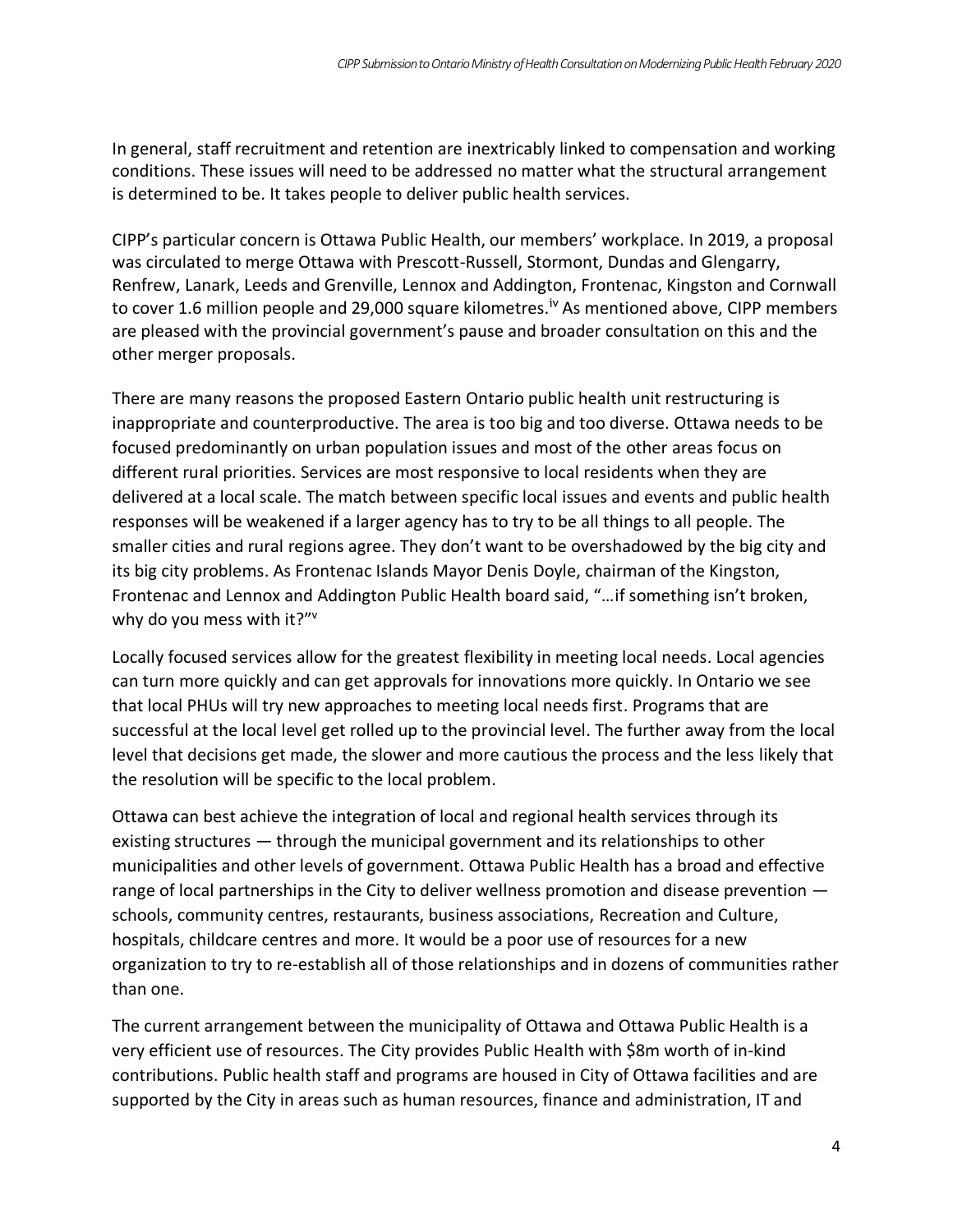In general, staff recruitment and retention are inextricably linked to compensation and working conditions. These issues will need to be addressed no matter what the structural arrangement is determined to be. It takes people to deliver public health services.

CIPP's particular concern is Ottawa Public Health, our members' workplace. In 2019, a proposal was circulated to merge Ottawa with Prescott-Russell, Stormont, Dundas and Glengarry, Renfrew, Lanark, Leeds and Grenville, Lennox and Addington, Frontenac, Kingston and Cornwall to cover 1.6 million people and 29,000 square kilometres.<sup>iv</sup> As mentioned above, CIPP members are pleased with the provincial government's pause and broader consultation on this and the other merger proposals.

There are many reasons the proposed Eastern Ontario public health unit restructuring is inappropriate and counterproductive. The area is too big and too diverse. Ottawa needs to be focused predominantly on urban population issues and most of the other areas focus on different rural priorities. Services are most responsive to local residents when they are delivered at a local scale. The match between specific local issues and events and public health responses will be weakened if a larger agency has to try to be all things to all people. The smaller cities and rural regions agree. They don't want to be overshadowed by the big city and its big city problems. As Frontenac Islands Mayor Denis Doyle, chairman of the Kingston, Frontenac and Lennox and Addington Public Health board said, "…if something isn't broken, why do you mess with it?"<sup>v</sup>

Locally focused services allow for the greatest flexibility in meeting local needs. Local agencies can turn more quickly and can get approvals for innovations more quickly. In Ontario we see that local PHUs will try new approaches to meeting local needs first. Programs that are successful at the local level get rolled up to the provincial level. The further away from the local level that decisions get made, the slower and more cautious the process and the less likely that the resolution will be specific to the local problem.

Ottawa can best achieve the integration of local and regional health services through its existing structures — through the municipal government and its relationships to other municipalities and other levels of government. Ottawa Public Health has a broad and effective range of local partnerships in the City to deliver wellness promotion and disease prevention schools, community centres, restaurants, business associations, Recreation and Culture, hospitals, childcare centres and more. It would be a poor use of resources for a new organization to try to re-establish all of those relationships and in dozens of communities rather than one.

The current arrangement between the municipality of Ottawa and Ottawa Public Health is a very efficient use of resources. The City provides Public Health with \$8m worth of in-kind contributions. Public health staff and programs are housed in City of Ottawa facilities and are supported by the City in areas such as human resources, finance and administration, IT and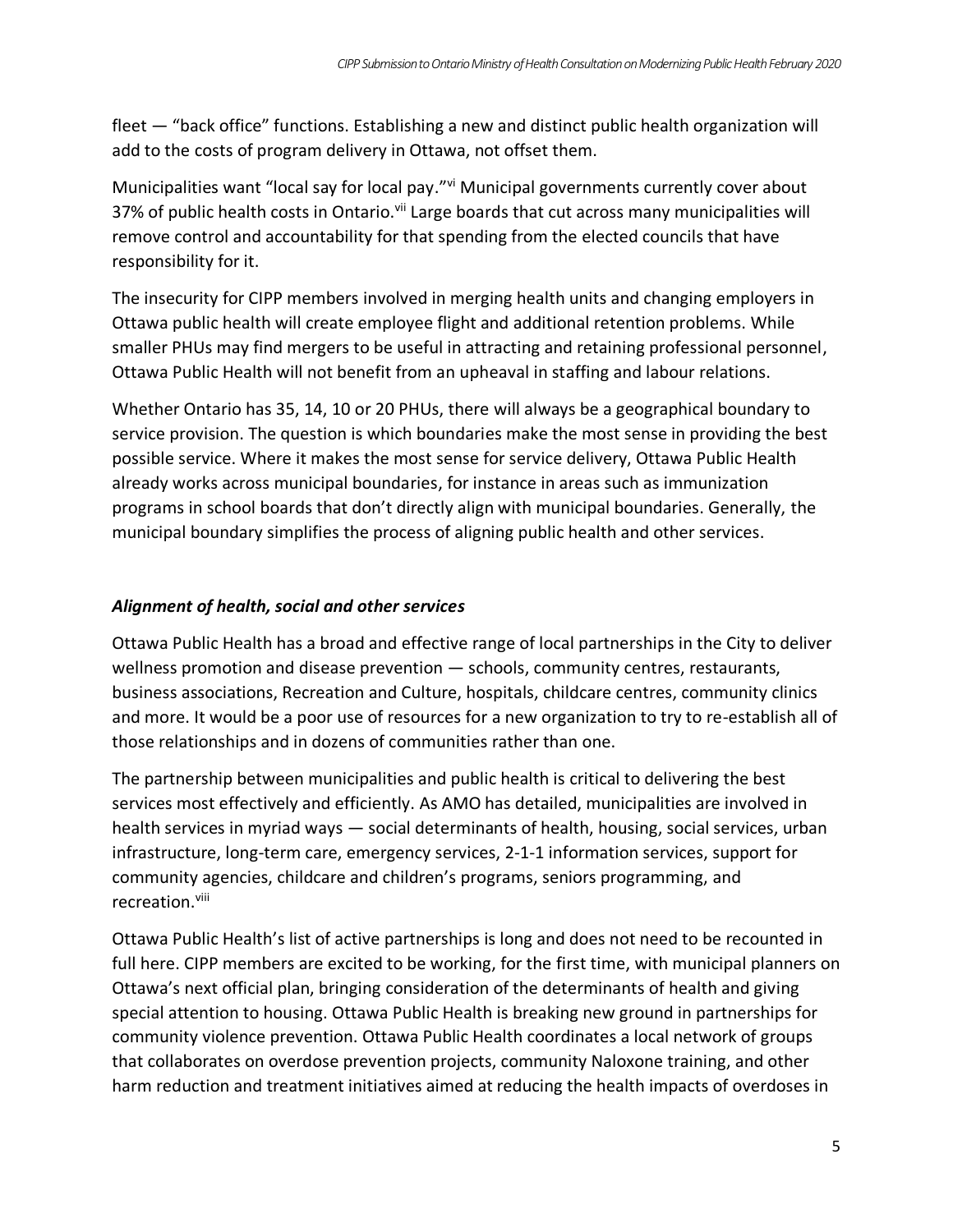fleet — "back office" functions. Establishing a new and distinct public health organization will add to the costs of program delivery in Ottawa, not offset them.

Municipalities want "local say for local pay."<sup>vi</sup> Municipal governments currently cover about 37% of public health costs in Ontario.<sup>vii</sup> Large boards that cut across many municipalities will remove control and accountability for that spending from the elected councils that have responsibility for it.

The insecurity for CIPP members involved in merging health units and changing employers in Ottawa public health will create employee flight and additional retention problems. While smaller PHUs may find mergers to be useful in attracting and retaining professional personnel, Ottawa Public Health will not benefit from an upheaval in staffing and labour relations.

Whether Ontario has 35, 14, 10 or 20 PHUs, there will always be a geographical boundary to service provision. The question is which boundaries make the most sense in providing the best possible service. Where it makes the most sense for service delivery, Ottawa Public Health already works across municipal boundaries, for instance in areas such as immunization programs in school boards that don't directly align with municipal boundaries. Generally, the municipal boundary simplifies the process of aligning public health and other services.

### *Alignment of health, social and other services*

Ottawa Public Health has a broad and effective range of local partnerships in the City to deliver wellness promotion and disease prevention — schools, community centres, restaurants, business associations, Recreation and Culture, hospitals, childcare centres, community clinics and more. It would be a poor use of resources for a new organization to try to re-establish all of those relationships and in dozens of communities rather than one.

The partnership between municipalities and public health is critical to delivering the best services most effectively and efficiently. As AMO has detailed, municipalities are involved in health services in myriad ways — social determinants of health, housing, social services, urban infrastructure, long-term care, emergency services, 2-1-1 information services, support for community agencies, childcare and children's programs, seniors programming, and recreation.<sup>viii</sup>

Ottawa Public Health's list of active partnerships is long and does not need to be recounted in full here. CIPP members are excited to be working, for the first time, with municipal planners on Ottawa's next official plan, bringing consideration of the determinants of health and giving special attention to housing. Ottawa Public Health is breaking new ground in partnerships for community violence prevention. Ottawa Public Health coordinates a local network of groups that collaborates on overdose prevention projects, community Naloxone training, and other harm reduction and treatment initiatives aimed at reducing the health impacts of overdoses in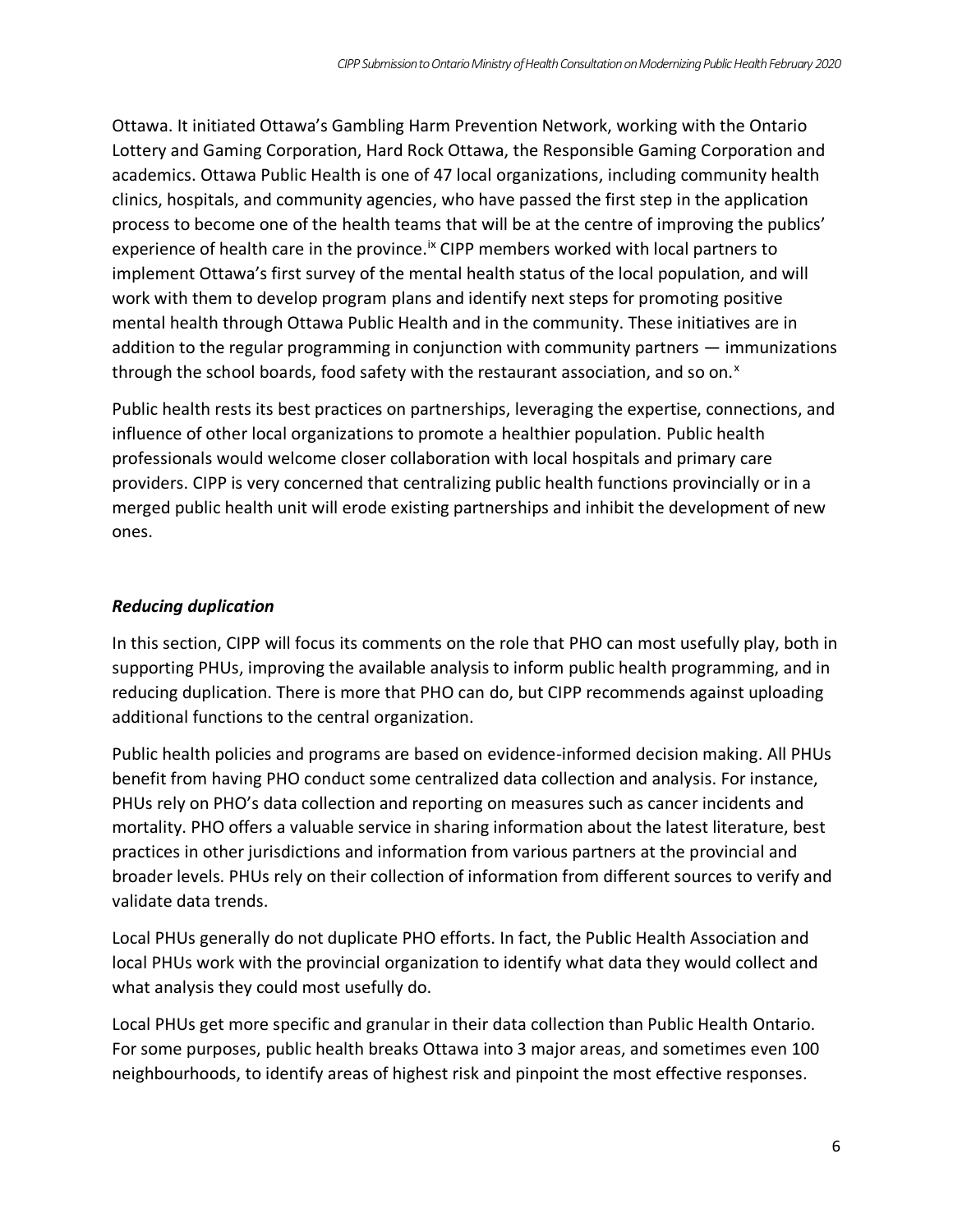Ottawa. It initiated Ottawa's Gambling Harm Prevention Network, working with the Ontario Lottery and Gaming Corporation, Hard Rock Ottawa, the Responsible Gaming Corporation and academics. Ottawa Public Health is one of 47 local organizations, including community health clinics, hospitals, and community agencies, who have passed the first step in the application process to become one of the health teams that will be at the centre of improving the publics' experience of health care in the province.<sup>ix</sup> CIPP members worked with local partners to implement Ottawa's first survey of the mental health status of the local population, and will work with them to develop program plans and identify next steps for promoting positive mental health through Ottawa Public Health and in the community. These initiatives are in addition to the regular programming in conjunction with community partners — immunizations through the school boards, food safety with the restaurant association, and so on.<sup>x</sup>

Public health rests its best practices on partnerships, leveraging the expertise, connections, and influence of other local organizations to promote a healthier population. Public health professionals would welcome closer collaboration with local hospitals and primary care providers. CIPP is very concerned that centralizing public health functions provincially or in a merged public health unit will erode existing partnerships and inhibit the development of new ones.

### *Reducing duplication*

In this section, CIPP will focus its comments on the role that PHO can most usefully play, both in supporting PHUs, improving the available analysis to inform public health programming, and in reducing duplication. There is more that PHO can do, but CIPP recommends against uploading additional functions to the central organization.

Public health policies and programs are based on evidence-informed decision making. All PHUs benefit from having PHO conduct some centralized data collection and analysis. For instance, PHUs rely on PHO's data collection and reporting on measures such as cancer incidents and mortality. PHO offers a valuable service in sharing information about the latest literature, best practices in other jurisdictions and information from various partners at the provincial and broader levels. PHUs rely on their collection of information from different sources to verify and validate data trends.

Local PHUs generally do not duplicate PHO efforts. In fact, the Public Health Association and local PHUs work with the provincial organization to identify what data they would collect and what analysis they could most usefully do.

Local PHUs get more specific and granular in their data collection than Public Health Ontario. For some purposes, public health breaks Ottawa into 3 major areas, and sometimes even 100 neighbourhoods, to identify areas of highest risk and pinpoint the most effective responses.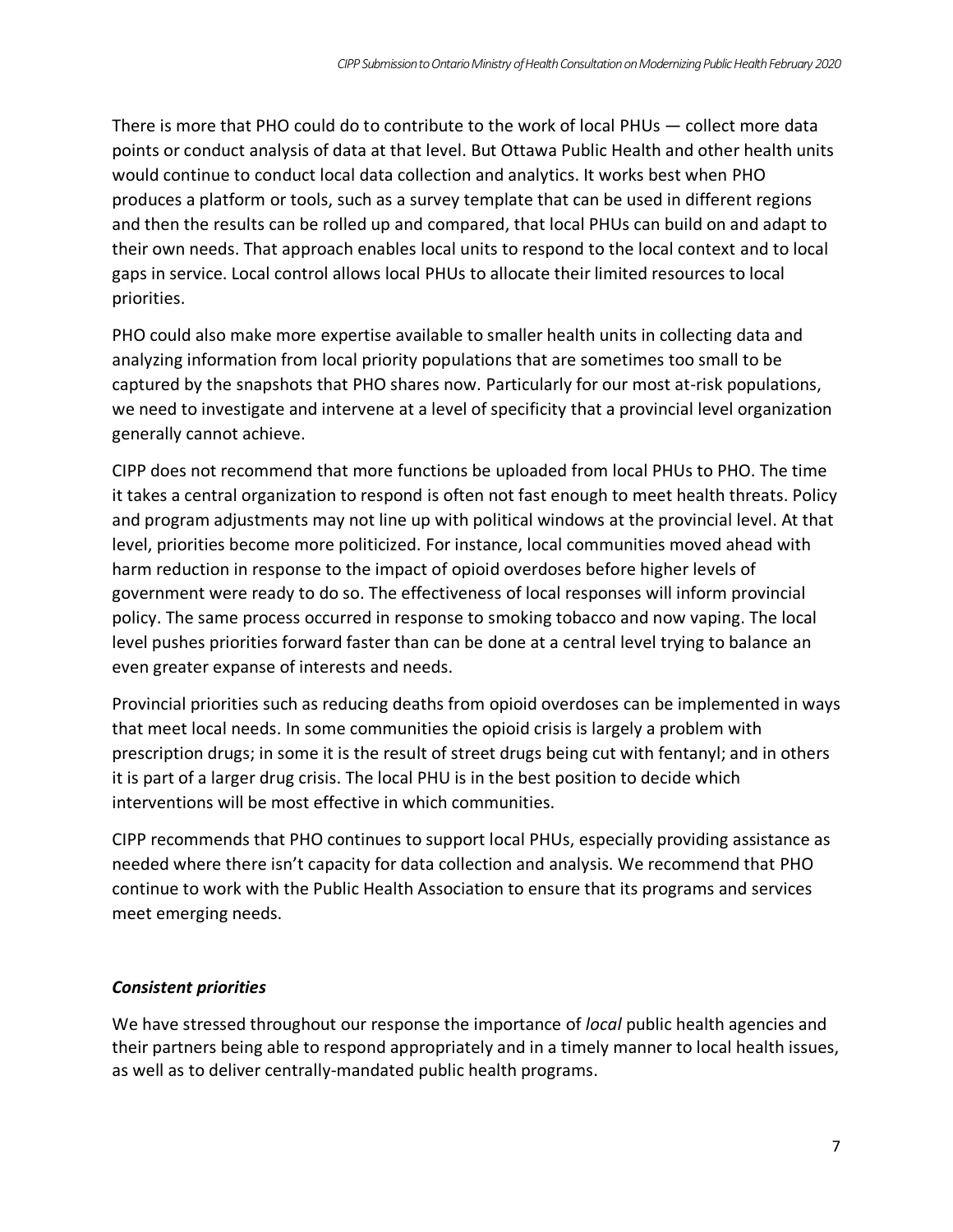There is more that PHO could do to contribute to the work of local PHUs — collect more data points or conduct analysis of data at that level. But Ottawa Public Health and other health units would continue to conduct local data collection and analytics. It works best when PHO produces a platform or tools, such as a survey template that can be used in different regions and then the results can be rolled up and compared, that local PHUs can build on and adapt to their own needs. That approach enables local units to respond to the local context and to local gaps in service. Local control allows local PHUs to allocate their limited resources to local priorities.

PHO could also make more expertise available to smaller health units in collecting data and analyzing information from local priority populations that are sometimes too small to be captured by the snapshots that PHO shares now. Particularly for our most at-risk populations, we need to investigate and intervene at a level of specificity that a provincial level organization generally cannot achieve.

CIPP does not recommend that more functions be uploaded from local PHUs to PHO. The time it takes a central organization to respond is often not fast enough to meet health threats. Policy and program adjustments may not line up with political windows at the provincial level. At that level, priorities become more politicized. For instance, local communities moved ahead with harm reduction in response to the impact of opioid overdoses before higher levels of government were ready to do so. The effectiveness of local responses will inform provincial policy. The same process occurred in response to smoking tobacco and now vaping. The local level pushes priorities forward faster than can be done at a central level trying to balance an even greater expanse of interests and needs.

Provincial priorities such as reducing deaths from opioid overdoses can be implemented in ways that meet local needs. In some communities the opioid crisis is largely a problem with prescription drugs; in some it is the result of street drugs being cut with fentanyl; and in others it is part of a larger drug crisis. The local PHU is in the best position to decide which interventions will be most effective in which communities.

CIPP recommends that PHO continues to support local PHUs, especially providing assistance as needed where there isn't capacity for data collection and analysis. We recommend that PHO continue to work with the Public Health Association to ensure that its programs and services meet emerging needs.

#### *Consistent priorities*

We have stressed throughout our response the importance of *local* public health agencies and their partners being able to respond appropriately and in a timely manner to local health issues, as well as to deliver centrally-mandated public health programs.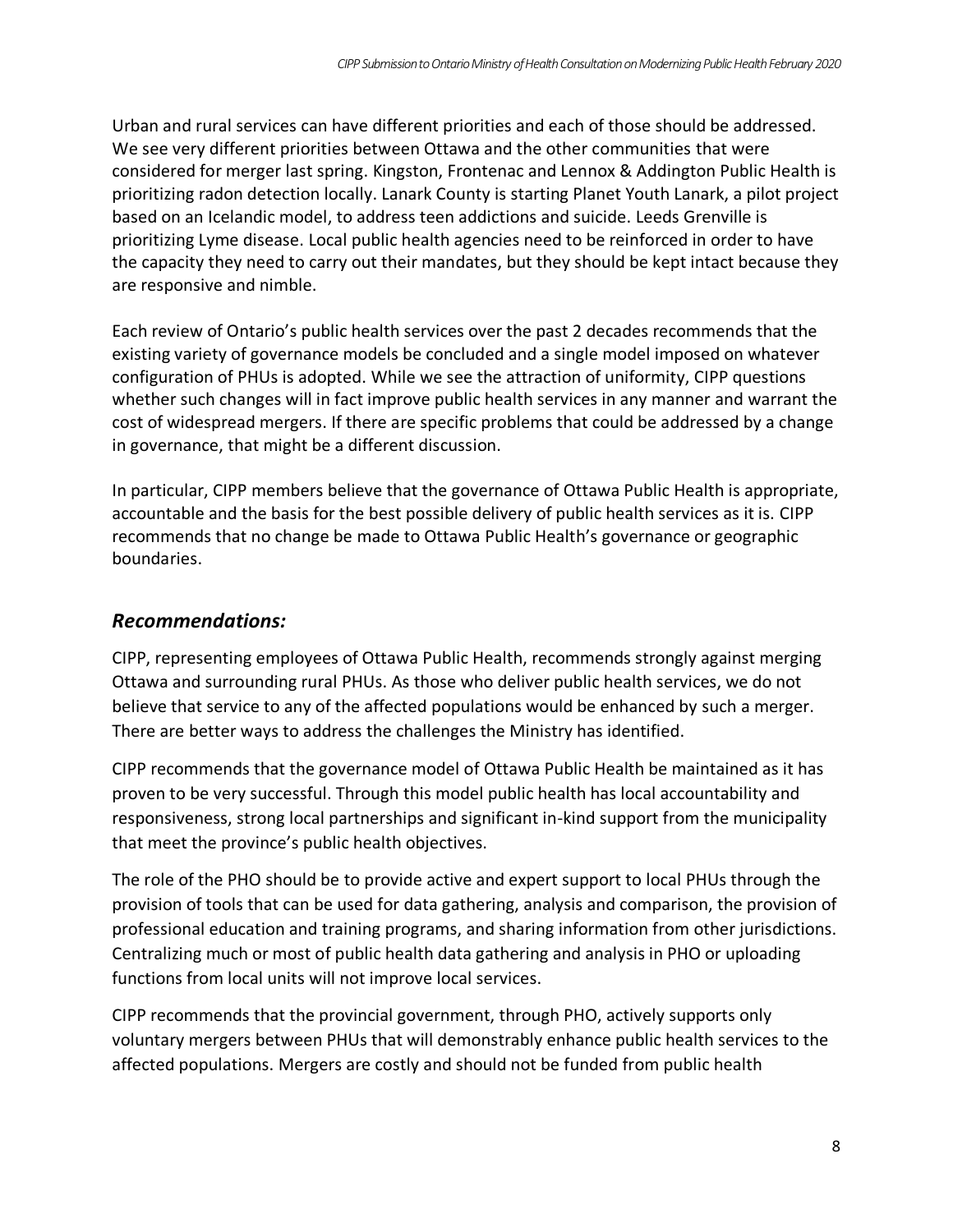Urban and rural services can have different priorities and each of those should be addressed. We see very different priorities between Ottawa and the other communities that were considered for merger last spring. Kingston, Frontenac and Lennox & Addington Public Health is prioritizing radon detection locally. Lanark County is starting Planet Youth Lanark, a pilot project based on an Icelandic model, to address teen addictions and suicide. Leeds Grenville is prioritizing Lyme disease. Local public health agencies need to be reinforced in order to have the capacity they need to carry out their mandates, but they should be kept intact because they are responsive and nimble.

Each review of Ontario's public health services over the past 2 decades recommends that the existing variety of governance models be concluded and a single model imposed on whatever configuration of PHUs is adopted. While we see the attraction of uniformity, CIPP questions whether such changes will in fact improve public health services in any manner and warrant the cost of widespread mergers. If there are specific problems that could be addressed by a change in governance, that might be a different discussion.

In particular, CIPP members believe that the governance of Ottawa Public Health is appropriate, accountable and the basis for the best possible delivery of public health services as it is. CIPP recommends that no change be made to Ottawa Public Health's governance or geographic boundaries.

## *Recommendations:*

CIPP, representing employees of Ottawa Public Health, recommends strongly against merging Ottawa and surrounding rural PHUs. As those who deliver public health services, we do not believe that service to any of the affected populations would be enhanced by such a merger. There are better ways to address the challenges the Ministry has identified.

CIPP recommends that the governance model of Ottawa Public Health be maintained as it has proven to be very successful. Through this model public health has local accountability and responsiveness, strong local partnerships and significant in-kind support from the municipality that meet the province's public health objectives.

The role of the PHO should be to provide active and expert support to local PHUs through the provision of tools that can be used for data gathering, analysis and comparison, the provision of professional education and training programs, and sharing information from other jurisdictions. Centralizing much or most of public health data gathering and analysis in PHO or uploading functions from local units will not improve local services.

CIPP recommends that the provincial government, through PHO, actively supports only voluntary mergers between PHUs that will demonstrably enhance public health services to the affected populations. Mergers are costly and should not be funded from public health